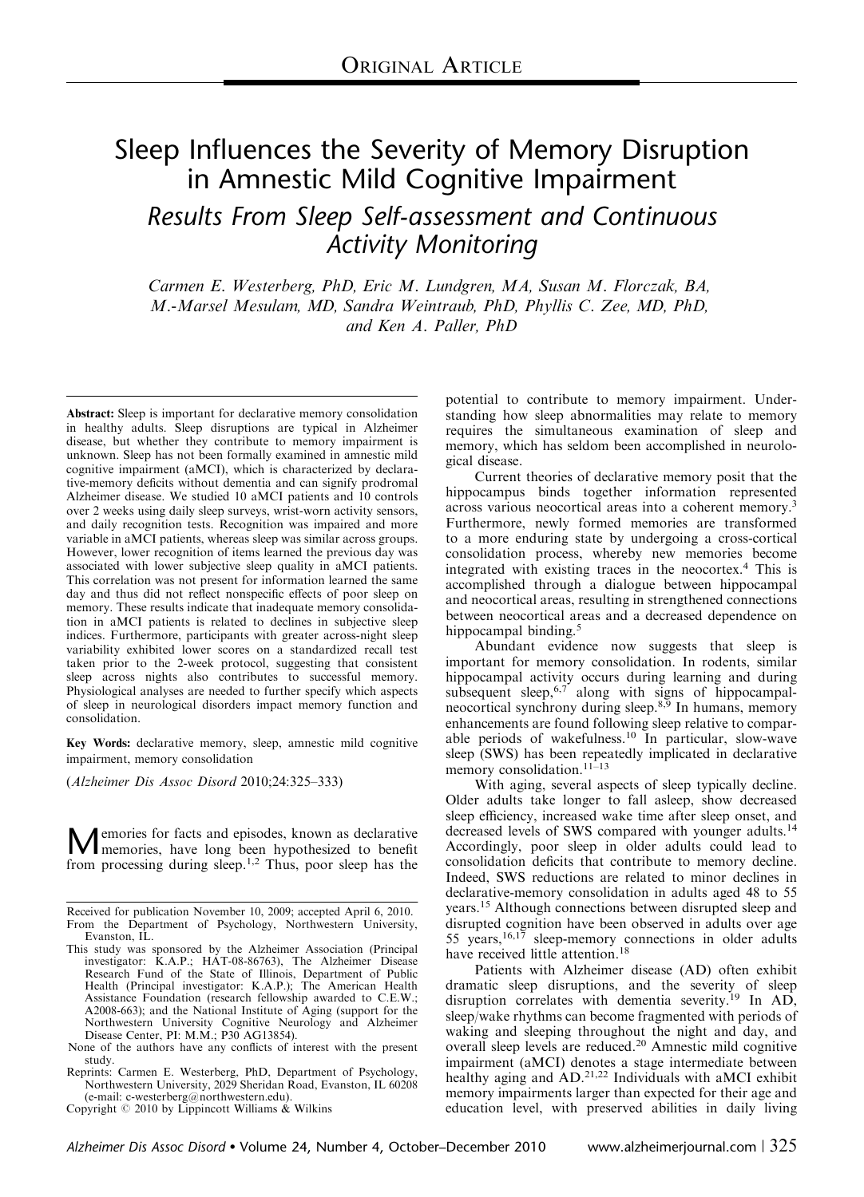# Sleep Influences the Severity of Memory Disruption in Amnestic Mild Cognitive Impairment Results From Sleep Self-assessment and Continuous Activity Monitoring

Carmen E. Westerberg, PhD, Eric M. Lundgren, MA, Susan M. Florczak, BA, M.-Marsel Mesulam, MD, Sandra Weintraub, PhD, Phyllis C. Zee, MD, PhD, and Ken A. Paller, PhD

Abstract: Sleep is important for declarative memory consolidation in healthy adults. Sleep disruptions are typical in Alzheimer disease, but whether they contribute to memory impairment is unknown. Sleep has not been formally examined in amnestic mild cognitive impairment (aMCI), which is characterized by declarative-memory deficits without dementia and can signify prodromal Alzheimer disease. We studied 10 aMCI patients and 10 controls over 2 weeks using daily sleep surveys, wrist-worn activity sensors, and daily recognition tests. Recognition was impaired and more variable in aMCI patients, whereas sleep was similar across groups. However, lower recognition of items learned the previous day was associated with lower subjective sleep quality in aMCI patients. This correlation was not present for information learned the same day and thus did not reflect nonspecific effects of poor sleep on memory. These results indicate that inadequate memory consolidation in aMCI patients is related to declines in subjective sleep indices. Furthermore, participants with greater across-night sleep variability exhibited lower scores on a standardized recall test taken prior to the 2-week protocol, suggesting that consistent sleep across nights also contributes to successful memory. Physiological analyses are needed to further specify which aspects of sleep in neurological disorders impact memory function and consolidation.

Key Words: declarative memory, sleep, amnestic mild cognitive impairment, memory consolidation

(Alzheimer Dis Assoc Disord 2010;24:325–333)

**M**emories for facts and episodes, known as declarative memories, have long been hypothesized to benefit from processing during sleep.1,2 Thus, poor sleep has the

Reprints: Carmen E. Westerberg, PhD, Department of Psychology, Northwestern University, 2029 Sheridan Road, Evanston, IL 60208 (e-mail: c-westerberg@northwestern.edu).

potential to contribute to memory impairment. Understanding how sleep abnormalities may relate to memory requires the simultaneous examination of sleep and memory, which has seldom been accomplished in neurological disease.

Current theories of declarative memory posit that the hippocampus binds together information represented across various neocortical areas into a coherent memory.<sup>3</sup> Furthermore, newly formed memories are transformed to a more enduring state by undergoing a cross-cortical consolidation process, whereby new memories become integrated with existing traces in the neocortex.<sup>4</sup> This is accomplished through a dialogue between hippocampal and neocortical areas, resulting in strengthened connections between neocortical areas and a decreased dependence on hippocampal binding.<sup>5</sup>

Abundant evidence now suggests that sleep is important for memory consolidation. In rodents, similar hippocampal activity occurs during learning and during subsequent sleep,  $6,7$  along with signs of hippocampalneocortical synchrony during sleep.8,9 In humans, memory enhancements are found following sleep relative to comparable periods of wakefulness.<sup>10</sup> In particular, slow-wave sleep (SWS) has been repeatedly implicated in declarative memory consolidation.<sup>11-13</sup>

With aging, several aspects of sleep typically decline. Older adults take longer to fall asleep, show decreased sleep efficiency, increased wake time after sleep onset, and decreased levels of SWS compared with younger adults.<sup>14</sup> Accordingly, poor sleep in older adults could lead to consolidation deficits that contribute to memory decline. Indeed, SWS reductions are related to minor declines in declarative-memory consolidation in adults aged 48 to 55 years.<sup>15</sup> Although connections between disrupted sleep and disrupted cognition have been observed in adults over age 55 years,  $16,17$  sleep-memory connections in older adults have received little attention.<sup>18</sup>

Patients with Alzheimer disease (AD) often exhibit dramatic sleep disruptions, and the severity of sleep disruption correlates with dementia severity.<sup>19</sup> In AD, sleep/wake rhythms can become fragmented with periods of waking and sleeping throughout the night and day, and overall sleep levels are reduced.<sup>20</sup> Amnestic mild cognitive impairment (aMCI) denotes a stage intermediate between healthy aging and AD.<sup>21,22</sup> Individuals with aMCI exhibit memory impairments larger than expected for their age and Copyright © 2010 by Lippincott Williams & Wilkins education level, with preserved abilities in daily living

Received for publication November 10, 2009; accepted April 6, 2010. From the Department of Psychology, Northwestern University, Evanston, IL.

This study was sponsored by the Alzheimer Association (Principal investigator: K.A.P.; HAT-08-86763), The Alzheimer Disease Research Fund of the State of Illinois, Department of Public Health (Principal investigator: K.A.P.); The American Health Assistance Foundation (research fellowship awarded to C.E.W.; A2008-663); and the National Institute of Aging (support for the Northwestern University Cognitive Neurology and Alzheimer Disease Center, PI: M.M.; P30 AG13854).

None of the authors have any conflicts of interest with the present study.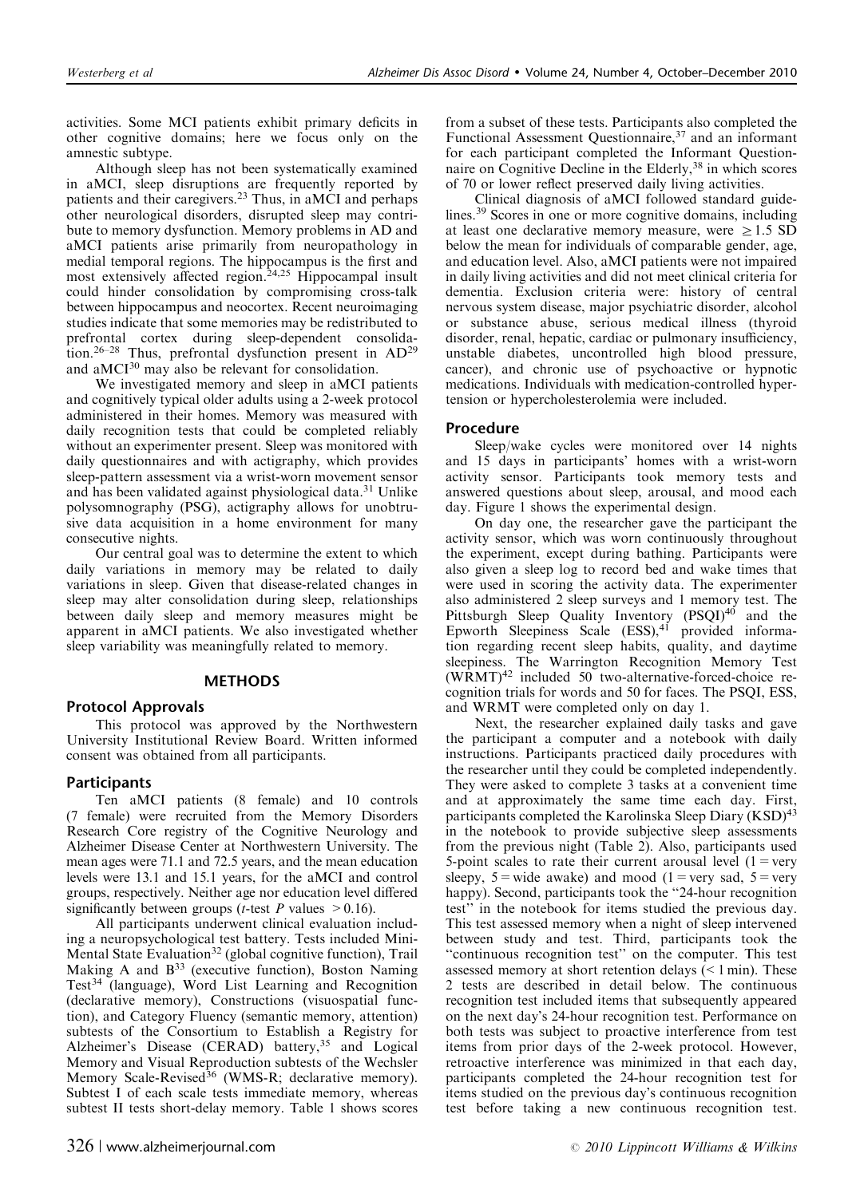activities. Some MCI patients exhibit primary deficits in other cognitive domains; here we focus only on the amnestic subtype.

Although sleep has not been systematically examined in aMCI, sleep disruptions are frequently reported by patients and their caregivers.<sup>23</sup> Thus, in aMCI and perhaps other neurological disorders, disrupted sleep may contribute to memory dysfunction. Memory problems in AD and aMCI patients arise primarily from neuropathology in medial temporal regions. The hippocampus is the first and most extensively affected region.<sup>24,25</sup> Hippocampal insult could hinder consolidation by compromising cross-talk between hippocampus and neocortex. Recent neuroimaging studies indicate that some memories may be redistributed to prefrontal cortex during sleep-dependent consolidation.<sup>26–28</sup> Thus, prefrontal dysfunction present in  $AD<sup>29</sup>$ and aMCI<sup>30</sup> may also be relevant for consolidation.

We investigated memory and sleep in aMCI patients and cognitively typical older adults using a 2-week protocol administered in their homes. Memory was measured with daily recognition tests that could be completed reliably without an experimenter present. Sleep was monitored with daily questionnaires and with actigraphy, which provides sleep-pattern assessment via a wrist-worn movement sensor and has been validated against physiological data.<sup>31</sup> Unlike polysomnography (PSG), actigraphy allows for unobtrusive data acquisition in a home environment for many consecutive nights.

Our central goal was to determine the extent to which daily variations in memory may be related to daily variations in sleep. Given that disease-related changes in sleep may alter consolidation during sleep, relationships between daily sleep and memory measures might be apparent in aMCI patients. We also investigated whether sleep variability was meaningfully related to memory.

## METHODS

## Protocol Approvals

This protocol was approved by the Northwestern University Institutional Review Board. Written informed consent was obtained from all participants.

## **Participants**

Ten aMCI patients (8 female) and 10 controls (7 female) were recruited from the Memory Disorders Research Core registry of the Cognitive Neurology and Alzheimer Disease Center at Northwestern University. The mean ages were 71.1 and 72.5 years, and the mean education levels were 13.1 and 15.1 years, for the aMCI and control groups, respectively. Neither age nor education level differed significantly between groups (*t*-test *P* values  $> 0.16$ ).

All participants underwent clinical evaluation including a neuropsychological test battery. Tests included Mini-Mental State Evaluation<sup>32</sup> (global cognitive function), Trail Making A and  $B<sup>33</sup>$  (executive function), Boston Naming Test<sup>34</sup> (language), Word List Learning and Recognition (declarative memory), Constructions (visuospatial function), and Category Fluency (semantic memory, attention) subtests of the Consortium to Establish a Registry for Alzheimer's Disease (CERAD) battery,<sup>35</sup> and Logical Memory and Visual Reproduction subtests of the Wechsler Memory Scale-Revised<sup>36</sup> (WMS-R; declarative memory). Subtest I of each scale tests immediate memory, whereas subtest II tests short-delay memory. Table 1 shows scores from a subset of these tests. Participants also completed the Functional Assessment Questionnaire,<sup>37</sup> and an informant for each participant completed the Informant Questionnaire on Cognitive Decline in the Elderly,<sup>38</sup> in which scores of 70 or lower reflect preserved daily living activities.

Clinical diagnosis of aMCI followed standard guidelines.<sup>39</sup> Scores in one or more cognitive domains, including at least one declarative memory measure, were  $\geq 1.5$  SD below the mean for individuals of comparable gender, age, and education level. Also, aMCI patients were not impaired in daily living activities and did not meet clinical criteria for dementia. Exclusion criteria were: history of central nervous system disease, major psychiatric disorder, alcohol or substance abuse, serious medical illness (thyroid disorder, renal, hepatic, cardiac or pulmonary insufficiency, unstable diabetes, uncontrolled high blood pressure, cancer), and chronic use of psychoactive or hypnotic medications. Individuals with medication-controlled hypertension or hypercholesterolemia were included.

## Procedure

Sleep/wake cycles were monitored over 14 nights and 15 days in participants' homes with a wrist-worn activity sensor. Participants took memory tests and answered questions about sleep, arousal, and mood each day. Figure 1 shows the experimental design.

On day one, the researcher gave the participant the activity sensor, which was worn continuously throughout the experiment, except during bathing. Participants were also given a sleep log to record bed and wake times that were used in scoring the activity data. The experimenter also administered 2 sleep surveys and 1 memory test. The Pittsburgh Sleep Quality Inventory (PSQI)<sup>40</sup> and the Epworth Sleepiness Scale  $(ESS),$ <sup>41</sup> provided information regarding recent sleep habits, quality, and daytime sleepiness. The Warrington Recognition Memory Test  $(WRMT)^{42}$  included 50 two-alternative-forced-choice recognition trials for words and 50 for faces. The PSQI, ESS, and WRMT were completed only on day 1.

Next, the researcher explained daily tasks and gave the participant a computer and a notebook with daily instructions. Participants practiced daily procedures with the researcher until they could be completed independently. They were asked to complete 3 tasks at a convenient time and at approximately the same time each day. First, participants completed the Karolinska Sleep Diary (KSD)<sup>43</sup> in the notebook to provide subjective sleep assessments from the previous night (Table 2). Also, participants used 5-point scales to rate their current arousal level  $(1 = \text{very})$ sleepy,  $5 = \text{wide}$  awake) and mood (1 = very sad,  $5 = \text{very}$ ) happy). Second, participants took the ''24-hour recognition test'' in the notebook for items studied the previous day. This test assessed memory when a night of sleep intervened between study and test. Third, participants took the ''continuous recognition test'' on the computer. This test assessed memory at short retention delays  $(< 1$  min). These 2 tests are described in detail below. The continuous recognition test included items that subsequently appeared on the next day's 24-hour recognition test. Performance on both tests was subject to proactive interference from test items from prior days of the 2-week protocol. However, retroactive interference was minimized in that each day, participants completed the 24-hour recognition test for items studied on the previous day's continuous recognition test before taking a new continuous recognition test.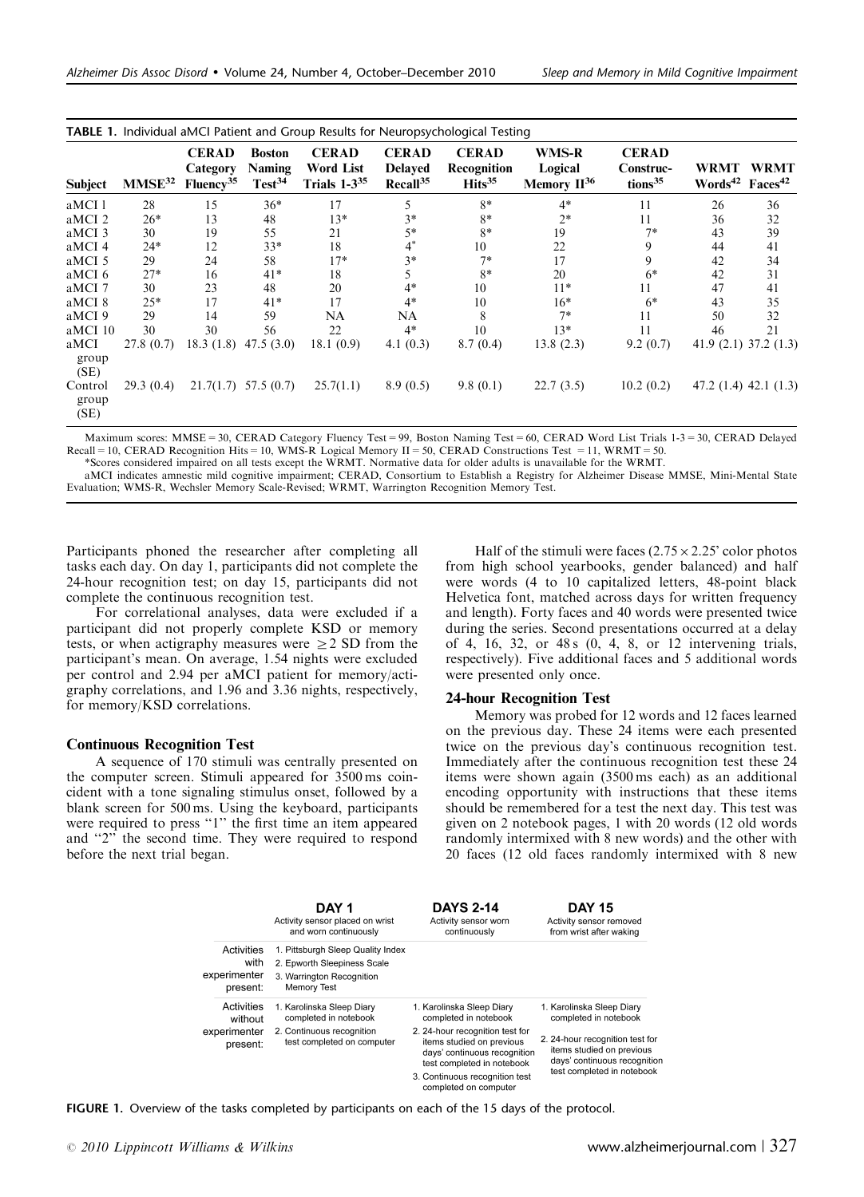| TABLE 1. Individual aMCI Patient and Group Results for Neuropsychological Testing |                    |                                                   |                                                      |                                                       |                                                        |                                                   |                                      |                                                  |                                                        |                          |
|-----------------------------------------------------------------------------------|--------------------|---------------------------------------------------|------------------------------------------------------|-------------------------------------------------------|--------------------------------------------------------|---------------------------------------------------|--------------------------------------|--------------------------------------------------|--------------------------------------------------------|--------------------------|
| <b>Subject</b>                                                                    | MMSE <sup>32</sup> | <b>CERAD</b><br>Category<br>Fluency <sup>35</sup> | <b>Boston</b><br><b>Naming</b><br>Test <sup>34</sup> | <b>CERAD</b><br><b>Word List</b><br>Trials $1-3^{35}$ | <b>CERAD</b><br><b>Delaved</b><br>Recall <sup>35</sup> | <b>CERAD</b><br>Recognition<br>Hits <sup>35</sup> | WMS-R<br>Logical<br>Memory $II^{36}$ | <b>CERAD</b><br>Construc-<br>tions <sup>35</sup> | <b>WRMT</b><br>Words <sup>42</sup> Faces <sup>42</sup> | <b>WRMT</b>              |
| aMCI1                                                                             | 28                 | 15                                                | $36*$                                                | 17                                                    | 5                                                      | $8*$                                              | $4*$                                 | 11                                               | 26                                                     | 36                       |
| aMCI <sub>2</sub>                                                                 | $26*$              | 13                                                | 48                                                   | $13*$                                                 | $3*$                                                   | $8*$                                              | $2*$                                 | 11                                               | 36                                                     | 32                       |
| aMCI 3                                                                            | 30                 | 19                                                | 55                                                   | 21                                                    | $5*$                                                   | $8*$                                              | 19                                   | $7*$                                             | 43                                                     | 39                       |
| aMCI 4                                                                            | $24*$              | 12                                                | $33*$                                                | 18                                                    | $4^*$                                                  | 10                                                | 22                                   | 9                                                | 44                                                     | 41                       |
| aMCI 5                                                                            | 29                 | 24                                                | 58                                                   | $17*$                                                 | $3*$                                                   | $7*$                                              | 17                                   | 9                                                | 42                                                     | 34                       |
| aMCI 6                                                                            | $27*$              | 16                                                | $41*$                                                | 18                                                    |                                                        | $8*$                                              | 20                                   | $6*$                                             | 42                                                     | 31                       |
| aMCI 7                                                                            | 30                 | 23                                                | 48                                                   | 20                                                    | $4*$                                                   | 10                                                | $11*$                                | 11                                               | 47                                                     | 41                       |
| aMCI 8                                                                            | $25*$              | 17                                                | $41*$                                                | 17                                                    | $4*$                                                   | 10                                                | $16*$                                | $6*$                                             | 43                                                     | 35                       |
| aMCI 9                                                                            | 29                 | 14                                                | 59                                                   | NA                                                    | NA                                                     | 8                                                 | $7*$                                 | 11                                               | 50                                                     | 32                       |
| aMCI 10                                                                           | 30                 | 30                                                | 56                                                   | 22                                                    | $4*$                                                   | 10                                                | $13*$                                | 11                                               | 46                                                     | 21                       |
| aMCI<br>group<br>(SE)                                                             | 27.8(0.7)          | 18.3(1.8)                                         | 47.5(3.0)                                            | 18.1(0.9)                                             | 4.1(0.3)                                               | 8.7(0.4)                                          | 13.8(2.3)                            | 9.2(0.7)                                         |                                                        | $41.9(2.1)$ 37.2 $(1.3)$ |
| Control<br>group<br>(SE)                                                          | 29.3(0.4)          | 21.7(1.7)                                         | 57.5(0.7)                                            | 25.7(1.1)                                             | 8.9(0.5)                                               | 9.8(0.1)                                          | 22.7(3.5)                            | 10.2(0.2)                                        |                                                        | $47.2(1.4)$ $42.1(1.3)$  |

Maximum scores: MMSE=30, CERAD Category Fluency Test=99, Boston Naming Test=60, CERAD Word List Trials 1-3=30, CERAD Delayed Recall = 10, CERAD Recognition Hits = 10, WMS-R Logical Memory II = 50, CERAD Constructions Test = 11, WRMT = 50.

\*Scores considered impaired on all tests except the WRMT. Normative data for older adults is unavailable for the WRMT. aMCI indicates amnestic mild cognitive impairment; CERAD, Consortium to Establish a Registry for Alzheimer Disease MMSE, Mini-Mental State Evaluation; WMS-R, Wechsler Memory Scale-Revised; WRMT, Warrington Recognition Memory Test.

Participants phoned the researcher after completing all tasks each day. On day 1, participants did not complete the 24-hour recognition test; on day 15, participants did not complete the continuous recognition test.

For correlational analyses, data were excluded if a participant did not properly complete KSD or memory tests, or when actigraphy measures were  $\geq$  2 SD from the participant's mean. On average, 1.54 nights were excluded per control and 2.94 per aMCI patient for memory/actigraphy correlations, and 1.96 and 3.36 nights, respectively, for memory/KSD correlations.

## Continuous Recognition Test

A sequence of 170 stimuli was centrally presented on the computer screen. Stimuli appeared for 3500 ms coincident with a tone signaling stimulus onset, followed by a blank screen for 500 ms. Using the keyboard, participants were required to press "1" the first time an item appeared and ''2'' the second time. They were required to respond before the next trial began.

Half of the stimuli were faces  $(2.75 \times 2.25)$  color photos from high school yearbooks, gender balanced) and half were words (4 to 10 capitalized letters, 48-point black Helvetica font, matched across days for written frequency and length). Forty faces and 40 words were presented twice during the series. Second presentations occurred at a delay of 4, 16, 32, or 48 s (0, 4, 8, or 12 intervening trials, respectively). Five additional faces and 5 additional words were presented only once.

#### 24-hour Recognition Test

Memory was probed for 12 words and 12 faces learned on the previous day. These 24 items were each presented twice on the previous day's continuous recognition test. Immediately after the continuous recognition test these 24 items were shown again (3500 ms each) as an additional encoding opportunity with instructions that these items should be remembered for a test the next day. This test was given on 2 notebook pages, 1 with 20 words (12 old words randomly intermixed with 8 new words) and the other with 20 faces (12 old faces randomly intermixed with 8 new

|                                                | DAY <sub>1</sub><br>Activity sensor placed on wrist<br>and worn continuously                                 | <b>DAYS 2-14</b><br>Activity sensor worn<br>continuously                                                                   | <b>DAY 15</b><br>Activity sensor removed<br>from wrist after waking                          |
|------------------------------------------------|--------------------------------------------------------------------------------------------------------------|----------------------------------------------------------------------------------------------------------------------------|----------------------------------------------------------------------------------------------|
| Activities<br>with<br>experimenter<br>present: | 1. Pittsburgh Sleep Quality Index<br>2. Epworth Sleepiness Scale<br>3. Warrington Recognition<br>Memory Test |                                                                                                                            |                                                                                              |
| Activities<br>without                          | 1. Karolinska Sleep Diary<br>completed in notebook                                                           | 1. Karolinska Sleep Diary<br>completed in notebook                                                                         | 1. Karolinska Sleep Diary<br>completed in notebook                                           |
| experimenter<br>present:                       | 2. Continuous recognition<br>test completed on computer                                                      | 2. 24-hour recognition test for<br>items studied on previous<br>days' continuous recognition<br>test completed in notebook | 2. 24-hour recognition test for<br>items studied on previous<br>days' continuous recognition |
|                                                |                                                                                                              | 3. Continuous recognition test<br>completed on computer                                                                    | test completed in notebook                                                                   |

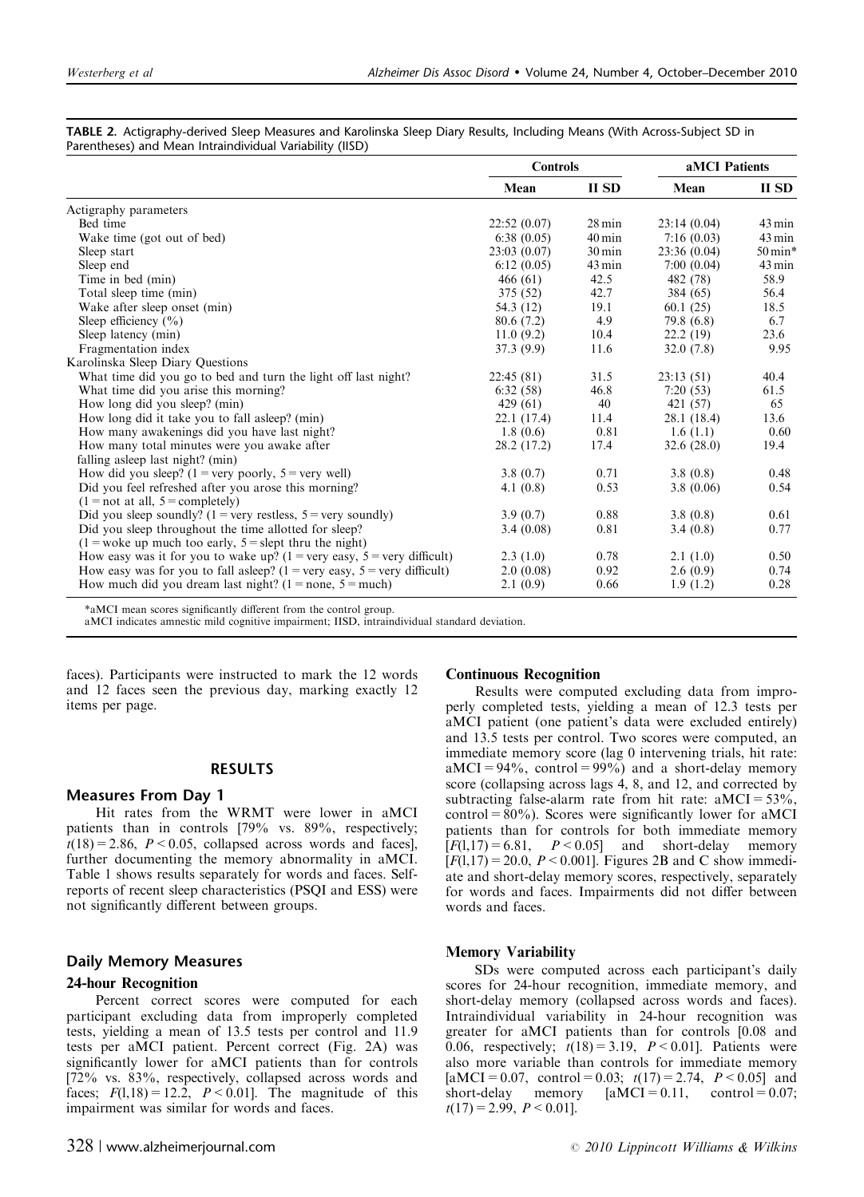|                                                                                          | <b>Controls</b> |                     | aMCI Patients |                       |
|------------------------------------------------------------------------------------------|-----------------|---------------------|---------------|-----------------------|
|                                                                                          | Mean            | <b>II SD</b>        | Mean          | II SD                 |
| Actigraphy parameters                                                                    |                 |                     |               |                       |
| Bed time                                                                                 | 22:52(0.07)     | 28 min              | 23:14(0.04)   | 43 min                |
| Wake time (got out of bed)                                                               | 6:38(0.05)      | $40 \,\mathrm{min}$ | 7:16(0.03)    | $43 \,\mathrm{min}$   |
| Sleep start                                                                              | 23:03(0.07)     | $30 \,\mathrm{min}$ | 23:36 (0.04)  | $50 \,\mathrm{min}$ * |
| Sleep end                                                                                | 6:12(0.05)      | 43 min              | 7:00(0.04)    | 43 min                |
| Time in bed (min)                                                                        | 466(61)         | 42.5                | 482 (78)      | 58.9                  |
| Total sleep time (min)                                                                   | 375 (52)        | 42.7                | 384 (65)      | 56.4                  |
| Wake after sleep onset (min)                                                             | 54.3 (12)       | 19.1                | 60.1(25)      | 18.5                  |
| Sleep efficiency $(\% )$                                                                 | 80.6 (7.2)      | 4.9                 | 79.8 (6.8)    | 6.7                   |
| Sleep latency (min)                                                                      | 11.0(9.2)       | 10.4                | 22.2(19)      | 23.6                  |
| Fragmentation index                                                                      | 37.3(9.9)       | 11.6                | 32.0(7.8)     | 9.95                  |
| Karolinska Sleep Diary Questions                                                         |                 |                     |               |                       |
| What time did you go to bed and turn the light off last night?                           | 22:45(81)       | 31.5                | 23:13(51)     | 40.4                  |
| What time did you arise this morning?                                                    | 6:32(58)        | 46.8                | 7:20(53)      | 61.5                  |
| How long did you sleep? (min)                                                            | 429 $(61)$      | 40                  | 421 (57)      | 65                    |
| How long did it take you to fall asleep? (min)                                           | 22.1 (17.4)     | 11.4                | 28.1 (18.4)   | 13.6                  |
| How many awakenings did you have last night?                                             | 1.8(0.6)        | 0.81                | 1.6(1.1)      | 0.60                  |
| How many total minutes were you awake after                                              | 28.2 (17.2)     | 17.4                | 32.6(28.0)    | 19.4                  |
| falling asleep last night? (min)                                                         |                 |                     |               |                       |
| How did you sleep? $(1 = \text{very poorly}, 5 = \text{very well})$                      | 3.8(0.7)        | 0.71                | 3.8(0.8)      | 0.48                  |
| Did you feel refreshed after you arose this morning?                                     | 4.1(0.8)        | 0.53                | 3.8(0.06)     | 0.54                  |
| $(1 = not at all, 5 = completely)$                                                       |                 |                     |               |                       |
| Did you sleep soundly? $(1 = \text{very restless}, 5 = \text{very soundly})$             | 3.9(0.7)        | 0.88                | 3.8(0.8)      | 0.61                  |
| Did you sleep throughout the time allotted for sleep?                                    | 3.4(0.08)       | 0.81                | 3.4(0.8)      | 0.77                  |
| $(1 = \text{woke up much too early}, 5 = \text{slept thru the night})$                   |                 |                     |               |                       |
| How easy was it for you to wake up? $(1 = \text{very easy}, 5 = \text{very difficult})$  | 2.3(1.0)        | 0.78                | 2.1(1.0)      | 0.50                  |
| How easy was for you to fall asleep? $(1 = \text{very easy}, 5 = \text{very difficult})$ | 2.0(0.08)       | 0.92                | 2.6(0.9)      | 0.74                  |
| How much did you dream last night? $(1 = none, 5 = much)$                                | 2.1(0.9)        | 0.66                | 1.9(1.2)      | 0.28                  |

#### TABLE 2. Actigraphy-derived Sleep Measures and Karolinska Sleep Diary Results, Including Means (With Across-Subject SD in Parentheses) and Mean Intraindividual Variability (IISD)

\*aMCI mean scores significantly different from the control group.

aMCI indicates amnestic mild cognitive impairment; IISD, intraindividual standard deviation.

faces). Participants were instructed to mark the 12 words and 12 faces seen the previous day, marking exactly 12 items per page.

## **RESULTS**

## Measures From Day 1

Hit rates from the WRMT were lower in aMCI patients than in controls [79% vs. 89%, respectively;  $t(18) = 2.86$ ,  $P < 0.05$ , collapsed across words and faces], further documenting the memory abnormality in aMCI. Table 1 shows results separately for words and faces. Selfreports of recent sleep characteristics (PSQI and ESS) were not significantly different between groups.

## Daily Memory Measures

## 24-hour Recognition

Percent correct scores were computed for each participant excluding data from improperly completed tests, yielding a mean of 13.5 tests per control and 11.9 tests per aMCI patient. Percent correct (Fig. 2A) was significantly lower for aMCI patients than for controls [72% vs. 83%, respectively, collapsed across words and faces;  $F(1,18) = 12.2$ ,  $P < 0.01$ ]. The magnitude of this impairment was similar for words and faces.

## Continuous Recognition

Results were computed excluding data from improperly completed tests, yielding a mean of 12.3 tests per aMCI patient (one patient's data were excluded entirely) and 13.5 tests per control. Two scores were computed, an immediate memory score (lag 0 intervening trials, hit rate:  $aMCI = 94\%$ , control = 99%) and a short-delay memory score (collapsing across lags 4, 8, and 12, and corrected by subtracting false-alarm rate from hit rate:  $aMCI = 53\%$ ,  $control = 80\%$ ). Scores were significantly lower for aMCI patients than for controls for both immediate memory  $[F(1,17) = 6.81,$   $P < 0.05$  and short-delay memory  $[F(1,17) = 20.0, P < 0.001]$ . Figures 2B and C show immediate and short-delay memory scores, respectively, separately for words and faces. Impairments did not differ between words and faces.

## Memory Variability

SDs were computed across each participant's daily scores for 24-hour recognition, immediate memory, and short-delay memory (collapsed across words and faces). Intraindividual variability in 24-hour recognition was greater for aMCI patients than for controls [0.08 and 0.06, respectively;  $t(18) = 3.19$ ,  $P < 0.01$ ]. Patients were also more variable than controls for immediate memory [aMCI = 0.07, control = 0.03;  $t(17) = 2.74$ ,  $P < 0.05$ ] and short-delay memory  $[aMCI=0.11, \text{control}=0.07;$  $t(17)=2.99, P<0.01$ .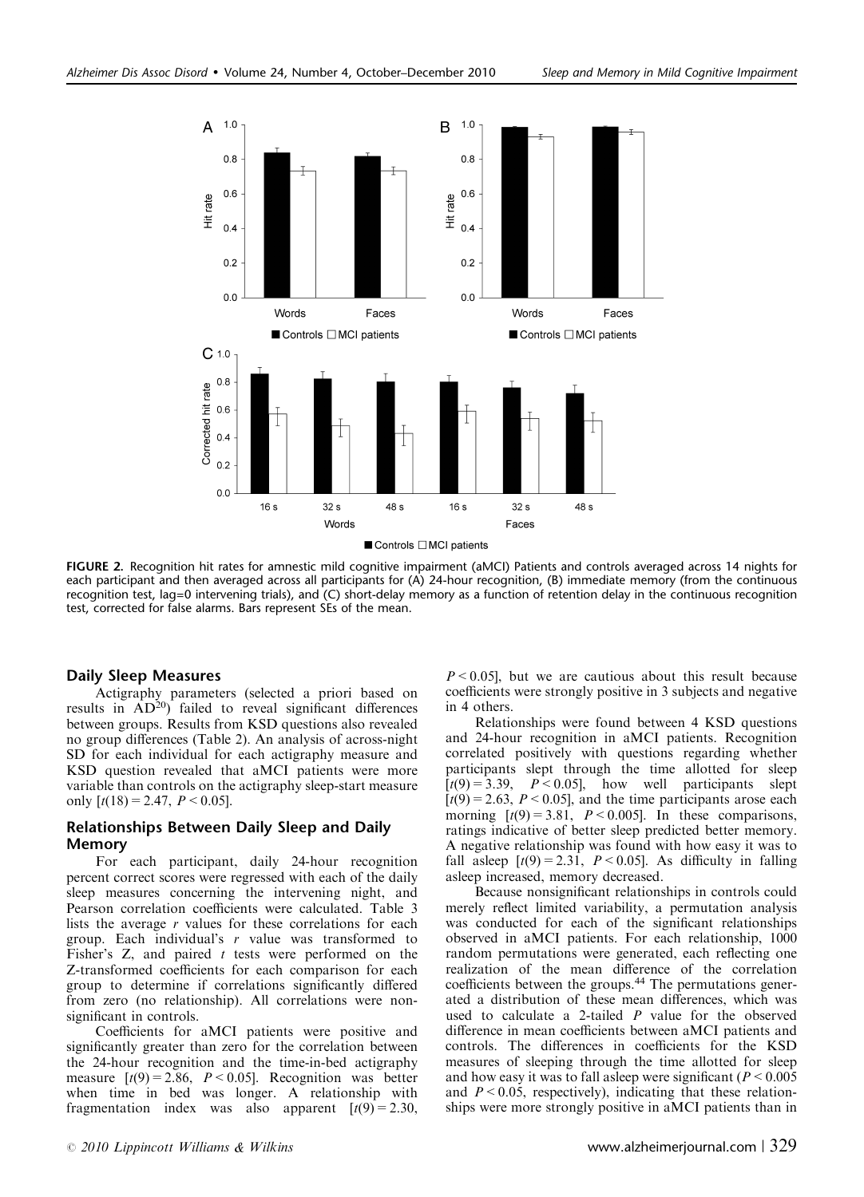

FIGURE 2. Recognition hit rates for amnestic mild cognitive impairment (aMCI) Patients and controls averaged across 14 nights for each participant and then averaged across all participants for (A) 24-hour recognition, (B) immediate memory (from the continuous recognition test, lag=0 intervening trials), and (C) short-delay memory as a function of retention delay in the continuous recognition test, corrected for false alarms. Bars represent SEs of the mean.

## Daily Sleep Measures

Actigraphy parameters (selected a priori based on results in  $AD^{20}$ ) failed to reveal significant differences between groups. Results from KSD questions also revealed no group differences (Table 2). An analysis of across-night SD for each individual for each actigraphy measure and KSD question revealed that aMCI patients were more variable than controls on the actigraphy sleep-start measure only  $[t(18) = 2.47, P \le 0.05]$ .

## Relationships Between Daily Sleep and Daily Memory

For each participant, daily 24-hour recognition percent correct scores were regressed with each of the daily sleep measures concerning the intervening night, and Pearson correlation coefficients were calculated. Table 3 lists the average  $r$  values for these correlations for each group. Each individual's  $r$  value was transformed to Fisher's  $Z$ , and paired  $t$  tests were performed on the Z-transformed coefficients for each comparison for each group to determine if correlations significantly differed from zero (no relationship). All correlations were nonsignificant in controls.

Coefficients for aMCI patients were positive and significantly greater than zero for the correlation between the 24-hour recognition and the time-in-bed actigraphy measure  $[t(9) = 2.86, P < 0.05]$ . Recognition was better when time in bed was longer. A relationship with fragmentation index was also apparent  $[t(9) = 2.30]$ ,

 $P \le 0.05$ , but we are cautious about this result because coefficients were strongly positive in 3 subjects and negative in 4 others.

Relationships were found between 4 KSD questions and 24-hour recognition in aMCI patients. Recognition correlated positively with questions regarding whether participants slept through the time allotted for sleep  $[t(9) = 3.39, P < 0.05]$ , how well participants slept  $[t(9) = 2.63, P \le 0.05]$ , and the time participants arose each morning  $[t(9) = 3.81, P < 0.005]$ . In these comparisons, ratings indicative of better sleep predicted better memory. A negative relationship was found with how easy it was to fall asleep  $[t(9) = 2.31, P \le 0.05]$ . As difficulty in falling asleep increased, memory decreased.

Because nonsignificant relationships in controls could merely reflect limited variability, a permutation analysis was conducted for each of the significant relationships observed in aMCI patients. For each relationship, 1000 random permutations were generated, each reflecting one realization of the mean difference of the correlation coefficients between the groups.<sup>44</sup> The permutations generated a distribution of these mean differences, which was used to calculate a 2-tailed  $P$  value for the observed difference in mean coefficients between aMCI patients and controls. The differences in coefficients for the KSD measures of sleeping through the time allotted for sleep and how easy it was to fall asleep were significant ( $P \le 0.005$ ) and  $P < 0.05$ , respectively), indicating that these relationships were more strongly positive in aMCI patients than in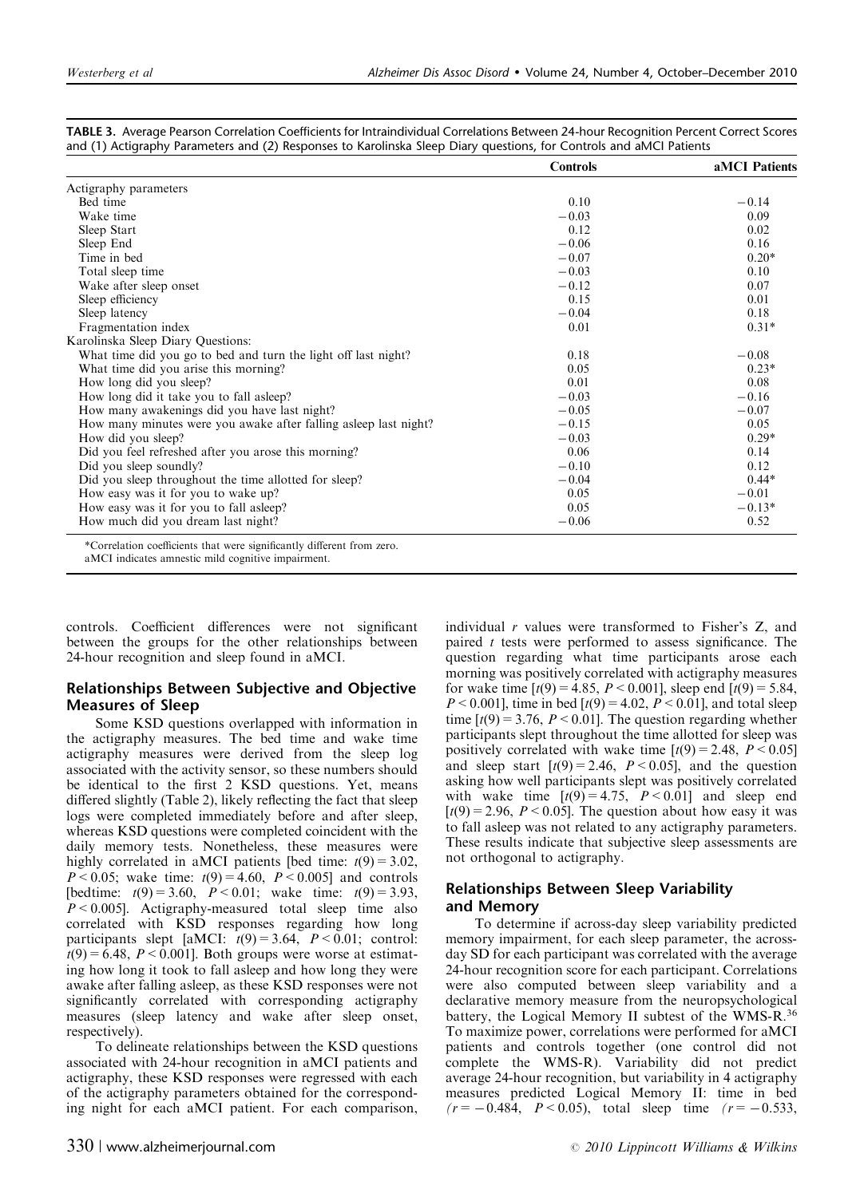|                                                                                                                              | <b>Controls</b> | aMCI Patients |
|------------------------------------------------------------------------------------------------------------------------------|-----------------|---------------|
| Actigraphy parameters                                                                                                        |                 |               |
| Bed time                                                                                                                     | 0.10            | $-0.14$       |
| Wake time                                                                                                                    | $-0.03$         | 0.09          |
| Sleep Start                                                                                                                  | 0.12            | 0.02          |
| Sleep End                                                                                                                    | $-0.06$         | 0.16          |
| Time in bed                                                                                                                  | $-0.07$         | $0.20*$       |
| Total sleep time                                                                                                             | $-0.03$         | 0.10          |
| Wake after sleep onset                                                                                                       | $-0.12$         | 0.07          |
| Sleep efficiency                                                                                                             | 0.15            | 0.01          |
| Sleep latency                                                                                                                | $-0.04$         | 0.18          |
| Fragmentation index                                                                                                          | 0.01            | $0.31*$       |
| Karolinska Sleep Diary Questions:                                                                                            |                 |               |
| What time did you go to bed and turn the light off last night?                                                               | 0.18            | $-0.08$       |
| What time did you arise this morning?                                                                                        | 0.05            | $0.23*$       |
| How long did you sleep?                                                                                                      | 0.01            | 0.08          |
| How long did it take you to fall as leep?                                                                                    | $-0.03$         | $-0.16$       |
| How many awakenings did you have last night?                                                                                 | $-0.05$         | $-0.07$       |
| How many minutes were you awake after falling asleep last night?                                                             | $-0.15$         | 0.05          |
| How did you sleep?                                                                                                           | $-0.03$         | $0.29*$       |
| Did you feel refreshed after you arose this morning?                                                                         | 0.06            | 0.14          |
| Did you sleep soundly?                                                                                                       | $-0.10$         | 0.12          |
| Did you sleep throughout the time allotted for sleep?                                                                        | $-0.04$         | $0.44*$       |
| How easy was it for you to wake up?                                                                                          | 0.05            | $-0.01$       |
| How easy was it for you to fall as leep?                                                                                     | 0.05            | $-0.13*$      |
| How much did you dream last night?                                                                                           | $-0.06$         | 0.52          |
| *Correlation coefficients that were significantly different from zero.<br>aMCI indicates amnestic mild cognitive impairment. |                 |               |

TABLE 3. Average Pearson Correlation Coefficients for Intraindividual Correlations Between 24-hour Recognition Percent Correct Scores and (1) Actigraphy Parameters and (2) Responses to Karolinska Sleep Diary questions, for Controls and aMCI Patients

controls. Coefficient differences were not significant between the groups for the other relationships between 24-hour recognition and sleep found in aMCI.

# Relationships Between Subjective and Objective Measures of Sleep

Some KSD questions overlapped with information in the actigraphy measures. The bed time and wake time actigraphy measures were derived from the sleep log associated with the activity sensor, so these numbers should be identical to the first 2 KSD questions. Yet, means differed slightly (Table 2), likely reflecting the fact that sleep logs were completed immediately before and after sleep, whereas KSD questions were completed coincident with the daily memory tests. Nonetheless, these measures were highly correlated in aMCI patients [bed time:  $t(9) = 3.02$ ,  $P < 0.05$ ; wake time:  $t(9) = 4.60$ ,  $P < 0.005$ ] and controls [bedtime:  $t(9) = 3.60$ ,  $P < 0.01$ ; wake time:  $t(9) = 3.93$ ,  $P < 0.005$ ]. Actigraphy-measured total sleep time also correlated with KSD responses regarding how long participants slept [aMCI:  $t(9) = 3.64$ ,  $P < 0.01$ ; control:  $t(9) = 6.48$ ,  $P < 0.001$ . Both groups were worse at estimating how long it took to fall asleep and how long they were awake after falling asleep, as these KSD responses were not significantly correlated with corresponding actigraphy measures (sleep latency and wake after sleep onset, respectively).

To delineate relationships between the KSD questions associated with 24-hour recognition in aMCI patients and actigraphy, these KSD responses were regressed with each of the actigraphy parameters obtained for the corresponding night for each aMCI patient. For each comparison,

individual r values were transformed to Fisher's Z, and paired  $t$  tests were performed to assess significance. The question regarding what time participants arose each morning was positively correlated with actigraphy measures for wake time  $[t(9) = 4.85, P < 0.001]$ , sleep end  $[t(9) = 5.84,$  $P < 0.001$ ], time in bed [t(9) = 4.02,  $P < 0.01$ ], and total sleep time  $[t(9) = 3.76, P < 0.01]$ . The question regarding whether participants slept throughout the time allotted for sleep was positively correlated with wake time  $[t(9) = 2.48, P \le 0.05]$ and sleep start  $[t(9) = 2.46, P < 0.05]$ , and the question asking how well participants slept was positively correlated with wake time  $[t(9) = 4.75, P < 0.01]$  and sleep end  $[t(9) = 2.96, P < 0.05]$ . The question about how easy it was to fall asleep was not related to any actigraphy parameters. These results indicate that subjective sleep assessments are not orthogonal to actigraphy.

# Relationships Between Sleep Variability and Memory

To determine if across-day sleep variability predicted memory impairment, for each sleep parameter, the acrossday SD for each participant was correlated with the average 24-hour recognition score for each participant. Correlations were also computed between sleep variability and a declarative memory measure from the neuropsychological battery, the Logical Memory II subtest of the WMS-R.<sup>36</sup> To maximize power, correlations were performed for aMCI patients and controls together (one control did not complete the WMS-R). Variability did not predict average 24-hour recognition, but variability in 4 actigraphy measures predicted Logical Memory II: time in bed  $(r=-0.484, P<0.05)$ , total sleep time  $(r=-0.533, P<0.05)$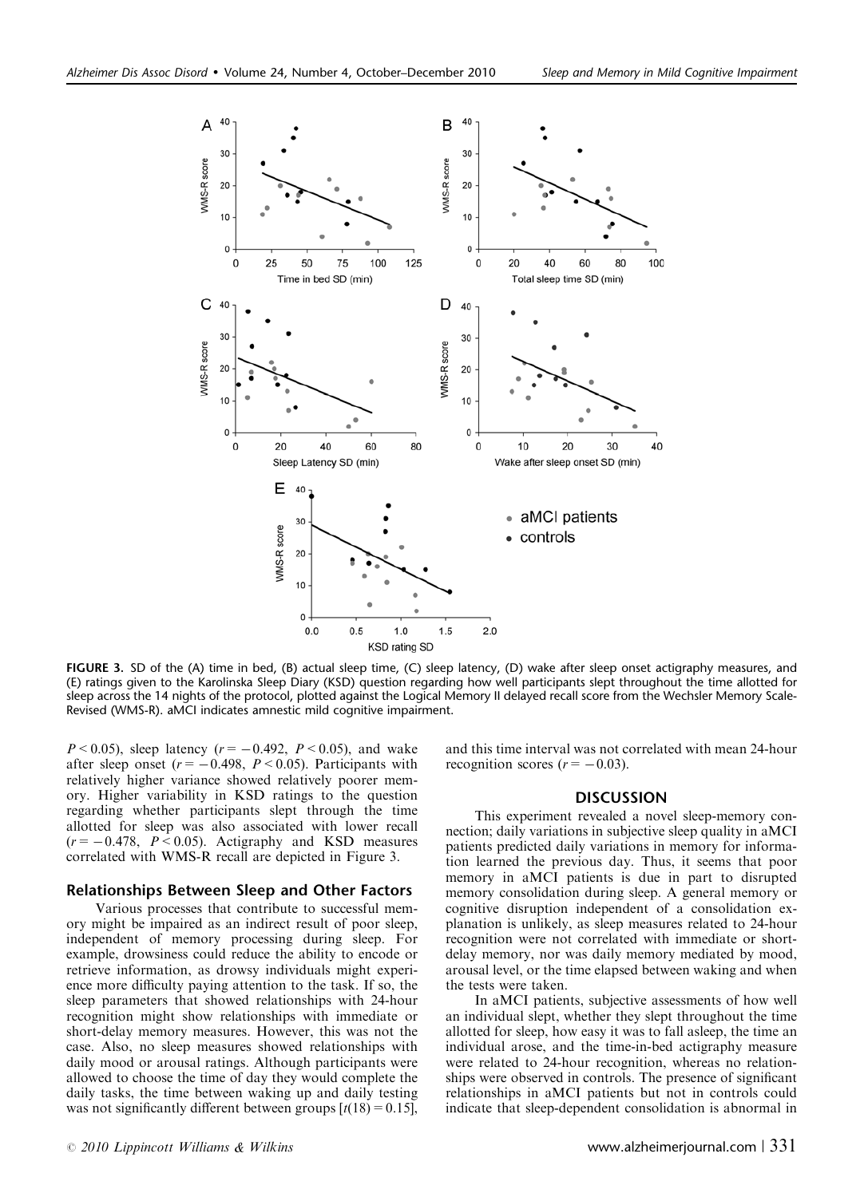

FIGURE 3. SD of the (A) time in bed, (B) actual sleep time, (C) sleep latency, (D) wake after sleep onset actigraphy measures, and (E) ratings given to the Karolinska Sleep Diary (KSD) question regarding how well participants slept throughout the time allotted for sleep across the 14 nights of the protocol, plotted against the Logical Memory II delayed recall score from the Wechsler Memory Scale-Revised (WMS-R). aMCI indicates amnestic mild cognitive impairment.

 $P < 0.05$ ), sleep latency ( $r = -0.492$ ,  $P < 0.05$ ), and wake after sleep onset ( $r = -0.498$ ,  $P \le 0.05$ ). Participants with relatively higher variance showed relatively poorer memory. Higher variability in KSD ratings to the question regarding whether participants slept through the time allotted for sleep was also associated with lower recall  $(r=-0.478, P<0.05)$ . Actigraphy and KSD measures correlated with WMS-R recall are depicted in Figure 3.

## Relationships Between Sleep and Other Factors

Various processes that contribute to successful memory might be impaired as an indirect result of poor sleep, independent of memory processing during sleep. For example, drowsiness could reduce the ability to encode or retrieve information, as drowsy individuals might experience more difficulty paying attention to the task. If so, the sleep parameters that showed relationships with 24-hour recognition might show relationships with immediate or short-delay memory measures. However, this was not the case. Also, no sleep measures showed relationships with daily mood or arousal ratings. Although participants were allowed to choose the time of day they would complete the daily tasks, the time between waking up and daily testing was not significantly different between groups  $\lbrack t(18)=0.15\rbrack$ ,

and this time interval was not correlated with mean 24-hour recognition scores  $(r=-0.03)$ .

### **DISCUSSION**

This experiment revealed a novel sleep-memory connection; daily variations in subjective sleep quality in aMCI patients predicted daily variations in memory for information learned the previous day. Thus, it seems that poor memory in aMCI patients is due in part to disrupted memory consolidation during sleep. A general memory or cognitive disruption independent of a consolidation explanation is unlikely, as sleep measures related to 24-hour recognition were not correlated with immediate or shortdelay memory, nor was daily memory mediated by mood, arousal level, or the time elapsed between waking and when the tests were taken.

In aMCI patients, subjective assessments of how well an individual slept, whether they slept throughout the time allotted for sleep, how easy it was to fall asleep, the time an individual arose, and the time-in-bed actigraphy measure were related to 24-hour recognition, whereas no relationships were observed in controls. The presence of significant relationships in aMCI patients but not in controls could indicate that sleep-dependent consolidation is abnormal in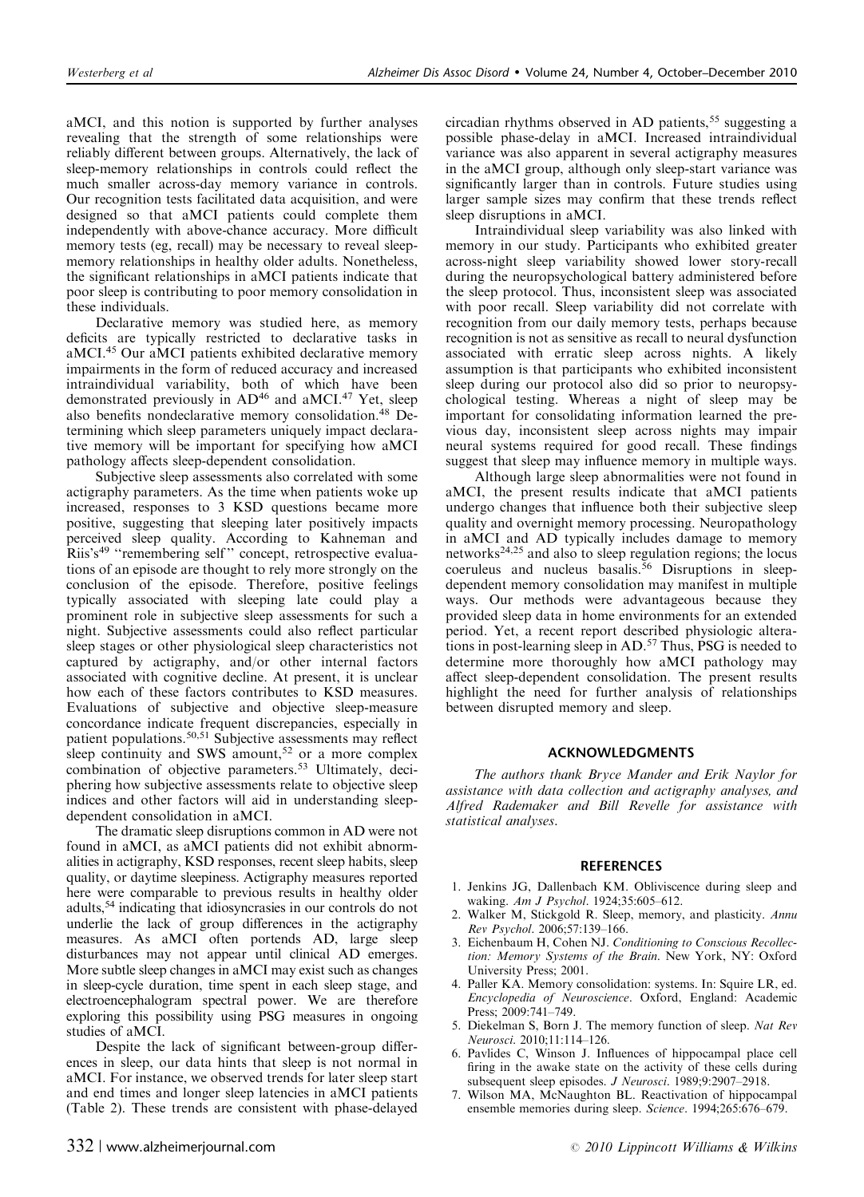aMCI, and this notion is supported by further analyses revealing that the strength of some relationships were reliably different between groups. Alternatively, the lack of sleep-memory relationships in controls could reflect the much smaller across-day memory variance in controls. Our recognition tests facilitated data acquisition, and were designed so that aMCI patients could complete them independently with above-chance accuracy. More difficult memory tests (eg, recall) may be necessary to reveal sleepmemory relationships in healthy older adults. Nonetheless, the significant relationships in aMCI patients indicate that poor sleep is contributing to poor memory consolidation in these individuals.

Declarative memory was studied here, as memory deficits are typically restricted to declarative tasks in aMCI.<sup>45</sup> Our aMCI patients exhibited declarative memory impairments in the form of reduced accuracy and increased intraindividual variability, both of which have been demonstrated previously in AD<sup>46</sup> and aMCI.<sup>47</sup> Yet, sleep also benefits nondeclarative memory consolidation.<sup>48</sup> Determining which sleep parameters uniquely impact declarative memory will be important for specifying how aMCI pathology affects sleep-dependent consolidation.

Subjective sleep assessments also correlated with some actigraphy parameters. As the time when patients woke up increased, responses to 3 KSD questions became more positive, suggesting that sleeping later positively impacts perceived sleep quality. According to Kahneman and Riis's<sup>49</sup> "remembering self" concept, retrospective evaluations of an episode are thought to rely more strongly on the conclusion of the episode. Therefore, positive feelings typically associated with sleeping late could play a prominent role in subjective sleep assessments for such a night. Subjective assessments could also reflect particular sleep stages or other physiological sleep characteristics not captured by actigraphy, and/or other internal factors associated with cognitive decline. At present, it is unclear how each of these factors contributes to KSD measures. Evaluations of subjective and objective sleep-measure concordance indicate frequent discrepancies, especially in patient populations.<sup>50,51</sup> Subjective assessments may reflect sleep continuity and SWS amount,<sup>52</sup> or a more complex combination of objective parameters.<sup>53</sup> Ultimately, deciphering how subjective assessments relate to objective sleep indices and other factors will aid in understanding sleepdependent consolidation in aMCI.

The dramatic sleep disruptions common in AD were not found in aMCI, as aMCI patients did not exhibit abnormalities in actigraphy, KSD responses, recent sleep habits, sleep quality, or daytime sleepiness. Actigraphy measures reported here were comparable to previous results in healthy older adults,54 indicating that idiosyncrasies in our controls do not underlie the lack of group differences in the actigraphy measures. As aMCI often portends AD, large sleep disturbances may not appear until clinical AD emerges. More subtle sleep changes in aMCI may exist such as changes in sleep-cycle duration, time spent in each sleep stage, and electroencephalogram spectral power. We are therefore exploring this possibility using PSG measures in ongoing studies of aMCI.

Despite the lack of significant between-group differences in sleep, our data hints that sleep is not normal in aMCI. For instance, we observed trends for later sleep start and end times and longer sleep latencies in aMCI patients (Table 2). These trends are consistent with phase-delayed circadian rhythms observed in AD patients,<sup>55</sup> suggesting a possible phase-delay in aMCI. Increased intraindividual variance was also apparent in several actigraphy measures in the aMCI group, although only sleep-start variance was significantly larger than in controls. Future studies using larger sample sizes may confirm that these trends reflect sleep disruptions in aMCI.

Intraindividual sleep variability was also linked with memory in our study. Participants who exhibited greater across-night sleep variability showed lower story-recall during the neuropsychological battery administered before the sleep protocol. Thus, inconsistent sleep was associated with poor recall. Sleep variability did not correlate with recognition from our daily memory tests, perhaps because recognition is not as sensitive as recall to neural dysfunction associated with erratic sleep across nights. A likely assumption is that participants who exhibited inconsistent sleep during our protocol also did so prior to neuropsychological testing. Whereas a night of sleep may be important for consolidating information learned the previous day, inconsistent sleep across nights may impair neural systems required for good recall. These findings suggest that sleep may influence memory in multiple ways.

Although large sleep abnormalities were not found in aMCI, the present results indicate that aMCI patients undergo changes that influence both their subjective sleep quality and overnight memory processing. Neuropathology in aMCI and AD typically includes damage to memory networks24,25 and also to sleep regulation regions; the locus coeruleus and nucleus basalis. $56$  Disruptions in sleepdependent memory consolidation may manifest in multiple ways. Our methods were advantageous because they provided sleep data in home environments for an extended period. Yet, a recent report described physiologic alterations in post-learning sleep in AD.<sup>57</sup> Thus, PSG is needed to determine more thoroughly how aMCI pathology may affect sleep-dependent consolidation. The present results highlight the need for further analysis of relationships between disrupted memory and sleep.

## ACKNOWLEDGMENTS

The authors thank Bryce Mander and Erik Naylor for assistance with data collection and actigraphy analyses, and Alfred Rademaker and Bill Revelle for assistance with statistical analyses.

#### **REFERENCES**

- 1. Jenkins JG, Dallenbach KM. Obliviscence during sleep and waking. Am J Psychol. 1924;35:605-612.
- 2. Walker M, Stickgold R. Sleep, memory, and plasticity. Annu Rev Psychol. 2006;57:139–166.
- 3. Eichenbaum H, Cohen NJ. Conditioning to Conscious Recollection: Memory Systems of the Brain. New York, NY: Oxford University Press; 2001.
- 4. Paller KA. Memory consolidation: systems. In: Squire LR, ed. Encyclopedia of Neuroscience. Oxford, England: Academic Press; 2009:741–749.
- 5. Diekelman S, Born J. The memory function of sleep. Nat Rev Neurosci. 2010;11:114–126.
- 6. Pavlides C, Winson J. Influences of hippocampal place cell firing in the awake state on the activity of these cells during subsequent sleep episodes. J Neurosci. 1989;9:2907–2918.
- 7. Wilson MA, McNaughton BL. Reactivation of hippocampal ensemble memories during sleep. Science. 1994;265:676–679.